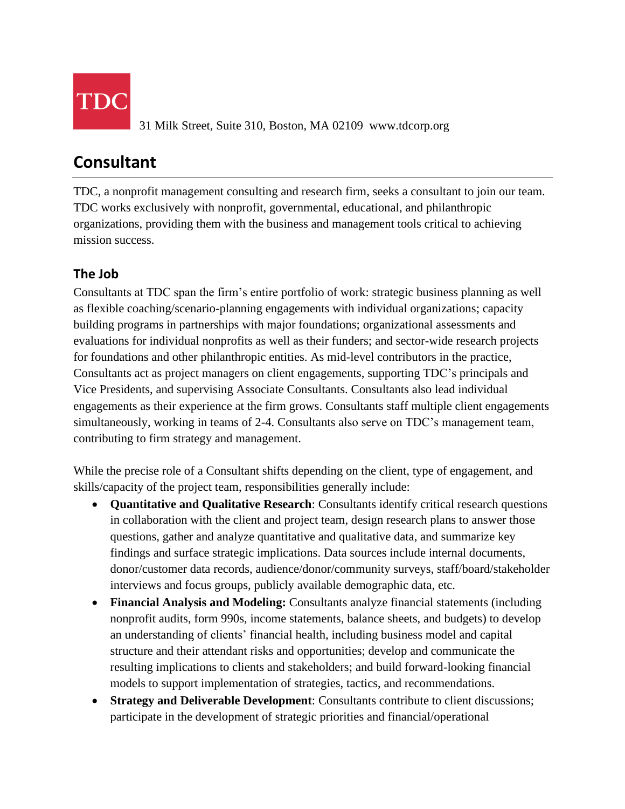

31 Milk Street, Suite 310, Boston, MA 02109 www.tdcorp.org

# **Consultant**

TDC, a nonprofit management consulting and research firm, seeks a consultant to join our team. TDC works exclusively with nonprofit, governmental, educational, and philanthropic organizations, providing them with the business and management tools critical to achieving mission success.

## **The Job**

Consultants at TDC span the firm's entire portfolio of work: strategic business planning as well as flexible coaching/scenario-planning engagements with individual organizations; capacity building programs in partnerships with major foundations; organizational assessments and evaluations for individual nonprofits as well as their funders; and sector-wide research projects for foundations and other philanthropic entities. As mid-level contributors in the practice, Consultants act as project managers on client engagements, supporting TDC's principals and Vice Presidents, and supervising Associate Consultants. Consultants also lead individual engagements as their experience at the firm grows. Consultants staff multiple client engagements simultaneously, working in teams of 2-4. Consultants also serve on TDC's management team, contributing to firm strategy and management.

While the precise role of a Consultant shifts depending on the client, type of engagement, and skills/capacity of the project team, responsibilities generally include:

- **Quantitative and Qualitative Research**: Consultants identify critical research questions in collaboration with the client and project team, design research plans to answer those questions, gather and analyze quantitative and qualitative data, and summarize key findings and surface strategic implications. Data sources include internal documents, donor/customer data records, audience/donor/community surveys, staff/board/stakeholder interviews and focus groups, publicly available demographic data, etc.
- **Financial Analysis and Modeling:** Consultants analyze financial statements (including nonprofit audits, form 990s, income statements, balance sheets, and budgets) to develop an understanding of clients' financial health, including business model and capital structure and their attendant risks and opportunities; develop and communicate the resulting implications to clients and stakeholders; and build forward-looking financial models to support implementation of strategies, tactics, and recommendations.
- **Strategy and Deliverable Development**: Consultants contribute to client discussions; participate in the development of strategic priorities and financial/operational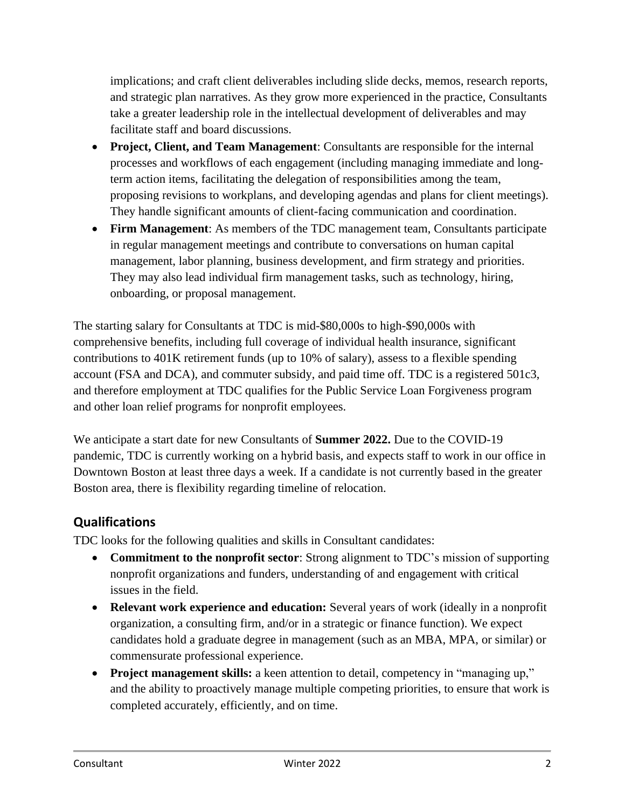implications; and craft client deliverables including slide decks, memos, research reports, and strategic plan narratives. As they grow more experienced in the practice, Consultants take a greater leadership role in the intellectual development of deliverables and may facilitate staff and board discussions.

- **Project, Client, and Team Management**: Consultants are responsible for the internal processes and workflows of each engagement (including managing immediate and longterm action items, facilitating the delegation of responsibilities among the team, proposing revisions to workplans, and developing agendas and plans for client meetings). They handle significant amounts of client-facing communication and coordination.
- **Firm Management**: As members of the TDC management team, Consultants participate in regular management meetings and contribute to conversations on human capital management, labor planning, business development, and firm strategy and priorities. They may also lead individual firm management tasks, such as technology, hiring, onboarding, or proposal management.

The starting salary for Consultants at TDC is mid-\$80,000s to high-\$90,000s with comprehensive benefits, including full coverage of individual health insurance, significant contributions to 401K retirement funds (up to 10% of salary), assess to a flexible spending account (FSA and DCA), and commuter subsidy, and paid time off. TDC is a registered 501c3, and therefore employment at TDC qualifies for the Public Service Loan Forgiveness program and other loan relief programs for nonprofit employees.

We anticipate a start date for new Consultants of **Summer 2022.** Due to the COVID-19 pandemic, TDC is currently working on a hybrid basis, and expects staff to work in our office in Downtown Boston at least three days a week. If a candidate is not currently based in the greater Boston area, there is flexibility regarding timeline of relocation.

#### **Qualifications**

TDC looks for the following qualities and skills in Consultant candidates:

- **Commitment to the nonprofit sector**: Strong alignment to TDC's mission of supporting nonprofit organizations and funders, understanding of and engagement with critical issues in the field.
- **Relevant work experience and education:** Several years of work (ideally in a nonprofit organization, a consulting firm, and/or in a strategic or finance function). We expect candidates hold a graduate degree in management (such as an MBA, MPA, or similar) or commensurate professional experience.
- **Project management skills:** a keen attention to detail, competency in "managing up," and the ability to proactively manage multiple competing priorities, to ensure that work is completed accurately, efficiently, and on time.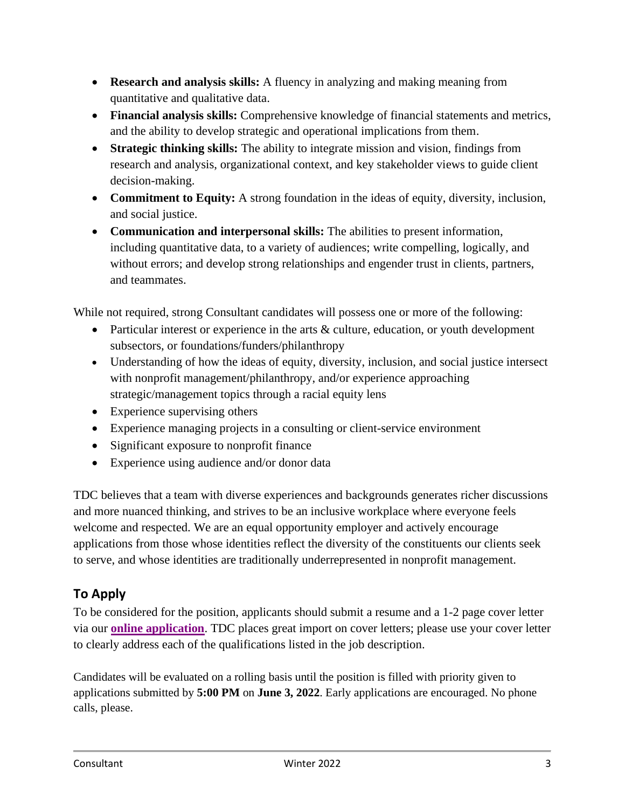- **Research and analysis skills:** A fluency in analyzing and making meaning from quantitative and qualitative data.
- **Financial analysis skills:** Comprehensive knowledge of financial statements and metrics, and the ability to develop strategic and operational implications from them.
- **Strategic thinking skills:** The ability to integrate mission and vision, findings from research and analysis, organizational context, and key stakeholder views to guide client decision-making.
- **Commitment to Equity:** A strong foundation in the ideas of equity, diversity, inclusion, and social justice.
- **Communication and interpersonal skills:** The abilities to present information, including quantitative data, to a variety of audiences; write compelling, logically, and without errors; and develop strong relationships and engender trust in clients, partners, and teammates.

While not required, strong Consultant candidates will possess one or more of the following:

- Particular interest or experience in the arts & culture, education, or youth development subsectors, or foundations/funders/philanthropy
- Understanding of how the ideas of equity, diversity, inclusion, and social justice intersect with nonprofit management/philanthropy, and/or experience approaching strategic/management topics through a racial equity lens
- Experience supervising others
- Experience managing projects in a consulting or client-service environment
- Significant exposure to nonprofit finance
- Experience using audience and/or donor data

TDC believes that a team with diverse experiences and backgrounds generates richer discussions and more nuanced thinking, and strives to be an inclusive workplace where everyone feels welcome and respected. We are an equal opportunity employer and actively encourage applications from those whose identities reflect the diversity of the constituents our clients seek to serve, and whose identities are traditionally underrepresented in nonprofit management.

### **To Apply**

To be considered for the position, applicants should submit a resume and a 1-2 page cover letter via our **[online application](https://survey.alchemer.com/s3/6868161/Consultant-Application-Summer-2022)**. TDC places great import on cover letters; please use your cover letter to clearly address each of the qualifications listed in the job description.

Candidates will be evaluated on a rolling basis until the position is filled with priority given to applications submitted by **5:00 PM** on **June 3, 2022**. Early applications are encouraged. No phone calls, please.